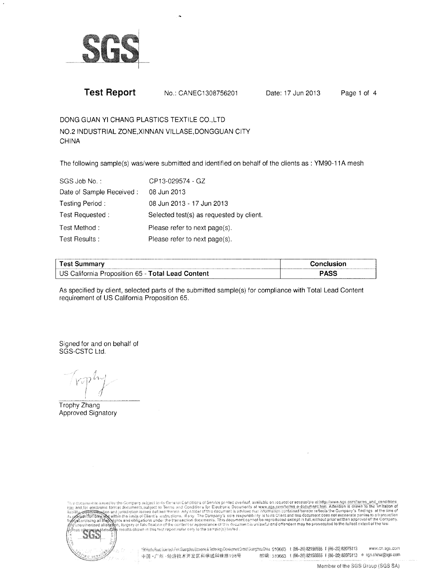

No.: CANEC1308756201

Date: 17 Jun 2013

Page 1 of 4

DONG GUAN YI CHANG PLASTICS TEXTILE CO., LTD NO.2 INDUSTRIAL ZONE, XINNAN VILLASE, DONGGUAN CITY **CHINA** 

The following sample(s) was/were submitted and identified on behalf of the clients as: YM90-11A mesh

| SGS Job No.:             | CP13-029574 - GZ                         |
|--------------------------|------------------------------------------|
| Date of Sample Received: | 08 Jun 2013                              |
| Testing Period:          | 08 Jun 2013 - 17 Jun 2013                |
| Test Requested:          | Selected test(s) as requested by client. |
| Test Method:             | Please refer to next page(s).            |
| Test Results:            | Please refer to next page(s).            |

| <b>Test Summary</b>                               | Conclusion |
|---------------------------------------------------|------------|
| US California Proposition 65 - Total Lead Content | PASS       |

As specified by client, selected parts of the submitted sample(s) for compliance with Total Lead Content requirement of US California Proposition 65.

Signed for and on behalf of SGS-CSTC Ltd.

Trophy Zhang Approved Signatory



This document is issued by the Company subject to its General Conditions of Service printed overleaf, available on request or accessible at http://www.sgs.com/terms.and\_conditions<br>that and,for electronic fermst documents,s

198 Kezhu Ruazi Scientech Prek Daargabou Economic & Technology Development Drotot Guangchous China, 510663 (66-20) 82155555 | (86-20) 82075113 www.cn.sas.com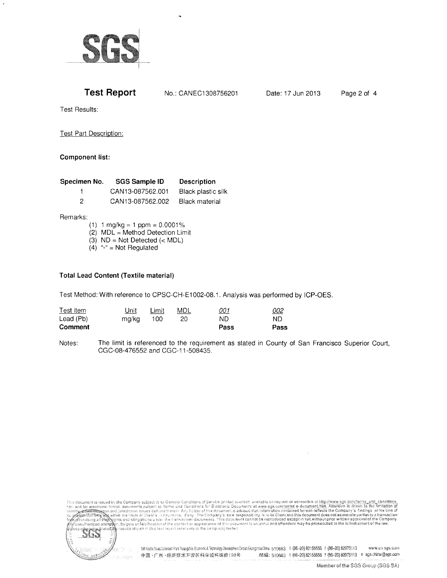

No.: CANEC1308756201

Page 2 of 4

**Test Results:** 

**Test Part Description:** 

### **Component list:**

| Specimen No. | <b>SGS Sample ID</b> | <b>Description</b> |  |
|--------------|----------------------|--------------------|--|
|              | CAN13-087562.001     | Black plastic silk |  |
|              | CAN13-087562.002     | Black material     |  |

Remarks:

- $(1)$  1 mg/kg = 1 ppm = 0.0001%
- (2) MDL = Method Detection Limit
- (3)  $ND = Not detected (< MDL)$
- $(4)$  "-" = Not Regulated

### **Total Lead Content (Textile material)**

Test Method: With reference to CPSC-CH-E1002-08.1. Analysis was performed by ICP-OES.

| Comment   |             |       |     | Pass       | Pass       |
|-----------|-------------|-------|-----|------------|------------|
| Lead (Pb) | ma/ka       | 100   |     | ND         | ND         |
| Test item | <u>Unit</u> | Limit | MDL | <u>001</u> | <u>002</u> |

The limit is referenced to the requirement as stated in County of San Francisco Superior Court, Notes: CGC-08-476552 and CGC-11-508435.





ee Co. Co. BM Kada Road Scienkon Part Guangdon Economic & Rohnsby Development District Guangcoul China, 510663 1 <mark>(86–20) 82155555 1 (86–20) 8207</mark>5113 www.cn.sgs.com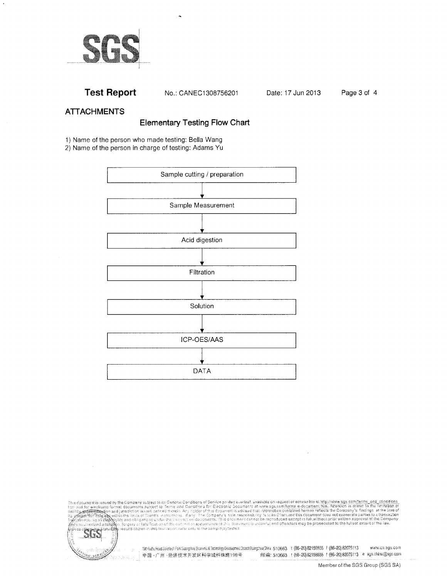

No.: CANEC1308756201

# **ATTACHMENTS**

## **Elementary Testing Flow Chart**

1) Name of the person who made testing: Bella Wang

2) Name of the person in charge of testing: Adams Yu



The decument is issued by the Gompany subject to its General Conditions of Service printed overteat, available on request or accessible at http://www.ags.com/ferms\_and\_conditions.<br>html: and for sectronic farmat documents,e



198 Kezte Read Scientech Park Guangzhou Economic & Technology Deseizpower Distrut Guangcrea (Dire 510663 1 (86-20) 82155555 f (86-20) 82075113 www.ch.sgs.com 邮编: 510663 t (66-20) 82155555 f (86-20) 82075113 e sgs.china@sgs.com 中国·广州·经济技术开发区科学城科珠路198号